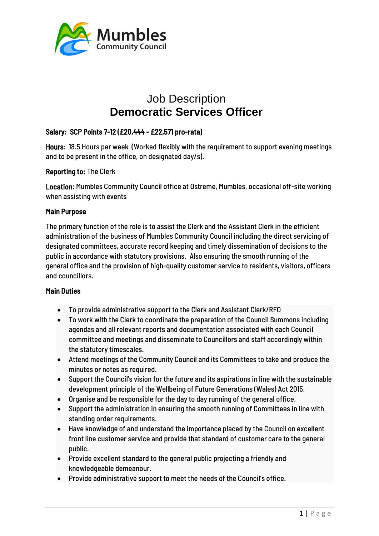

# Job Description **Democratic Services Officer**

# Salary: SCP Points 7-12 (£20,444 - £22,571 pro-rata)

Hours: 18.5 Hours per week (Worked flexibly with the requirement to support evening meetings and to be present in the office, on designated day/s).

### Reporting to: The Clerk

Location: Mumbles Community Council office at Ostreme, Mumbles, occasional off-site working when assisting with events

### Main Purpose

The primary function of the role is to assist the Clerk and the Assistant Clerk in the efficient administration of the business of Mumbles Community Council including the direct servicing of designated committees, accurate record keeping and timely dissemination of decisions to the public in accordance with statutory provisions. Also ensuring the smooth running of the general office and the provision of high-quality customer service to residents, visitors, officers and councillors.

## Main Duties

- To provide administrative support to the Clerk and Assistant Clerk/RFO
- To work with the Clerk to coordinate the preparation of the Council Summons including agendas and all relevant reports and documentation associated with each Council committee and meetings and disseminate to Councillors and staff accordingly within the statutory timescales.
- Attend meetings of the Community Council and its Committees to take and produce the minutes or notes as required.
- Support the Council's vision for the future and its aspirations in line with the sustainable development principle of the Wellbeing of Future Generations (Wales) Act 2015.
- Organise and be responsible for the day to day running of the general office.
- Support the administration in ensuring the smooth running of Committees in line with standing order requirements.
- Have knowledge of and understand the importance placed by the Council on excellent front line customer service and provide that standard of customer care to the general public.
- Provide excellent standard to the general public projecting a friendly and knowledgeable demeanour.
- Provide administrative support to meet the needs of the Council's office.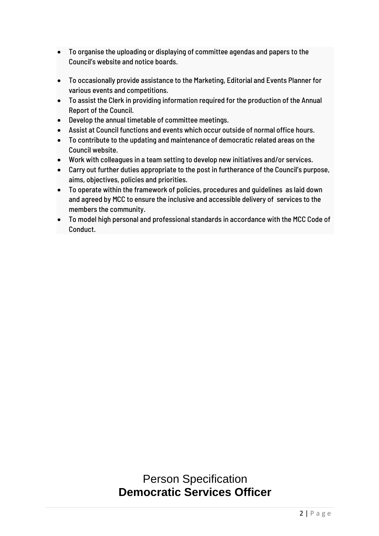- To organise the uploading or displaying of committee agendas and papers to the Council's website and notice boards.
- To occasionally provide assistance to the Marketing, Editorial and Events Planner for various events and competitions.
- To assist the Clerk in providing information required for the production of the Annual Report of the Council.
- Develop the annual timetable of committee meetings.
- Assist at Council functions and events which occur outside of normal office hours.
- To contribute to the updating and maintenance of democratic related areas on the Council website.
- Work with colleagues in a team setting to develop new initiatives and/or services.
- Carry out further duties appropriate to the post in furtherance of the Council's purpose, aims, objectives, policies and priorities.
- To operate within the framework of policies, procedures and guidelines as laid down and agreed by MCC to ensure the inclusive and accessible delivery of services to the members the community.
- To model high personal and professional standards in accordance with the MCC Code of Conduct.

# Person Specification **Democratic Services Officer**